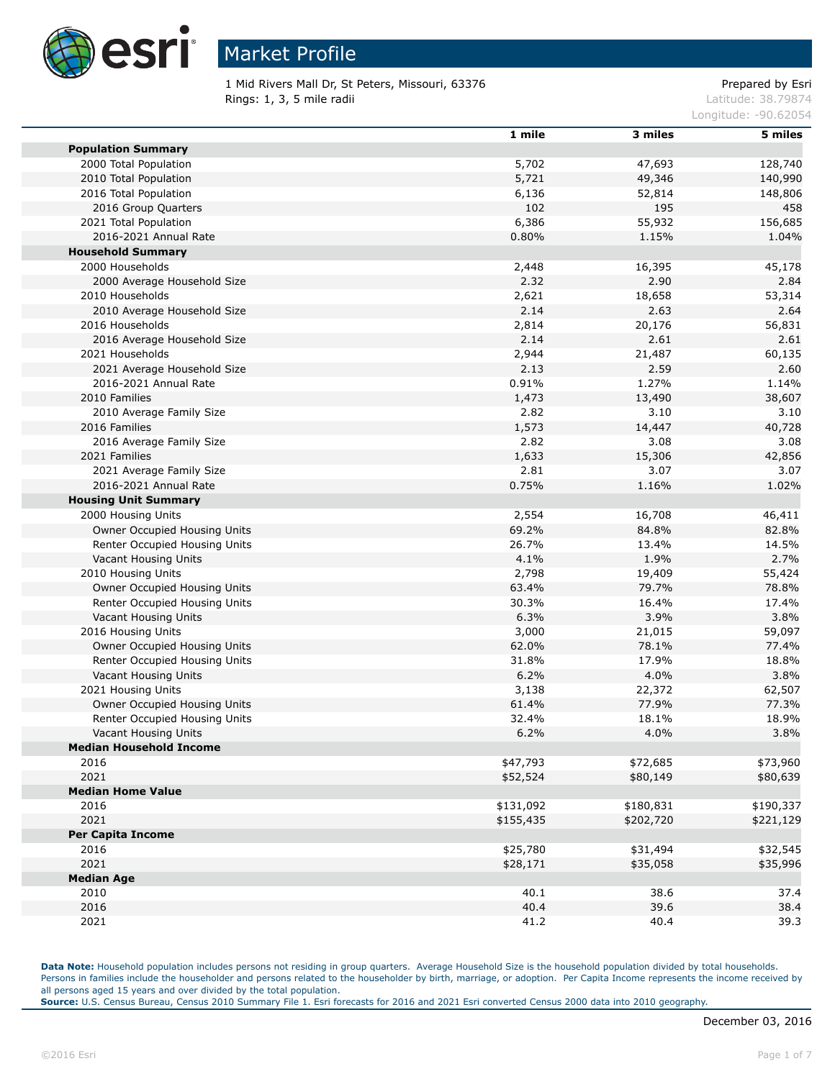

1 Mid Rivers Mall Dr, St Peters, Missouri, 63376 Prepared by Esri Rings: 1, 3, 5 mile radii and the state of the state of the contract of the contract of the contract of the contract of the contract of the contract of the contract of the contract of the contract of the contract of the co

Longitude: -90.62054

|                                | 1 mile    | 3 miles   | 5 miles   |
|--------------------------------|-----------|-----------|-----------|
| <b>Population Summary</b>      |           |           |           |
| 2000 Total Population          | 5,702     | 47,693    | 128,740   |
| 2010 Total Population          | 5,721     | 49,346    | 140,990   |
| 2016 Total Population          | 6,136     | 52,814    | 148,806   |
| 2016 Group Quarters            | 102       | 195       | 458       |
| 2021 Total Population          | 6,386     | 55,932    | 156,685   |
| 2016-2021 Annual Rate          | 0.80%     | 1.15%     | 1.04%     |
| <b>Household Summary</b>       |           |           |           |
| 2000 Households                | 2,448     | 16,395    | 45,178    |
| 2000 Average Household Size    | 2.32      | 2.90      | 2.84      |
| 2010 Households                | 2,621     | 18,658    | 53,314    |
| 2010 Average Household Size    | 2.14      | 2.63      | 2.64      |
| 2016 Households                | 2,814     | 20,176    | 56,831    |
| 2016 Average Household Size    | 2.14      | 2.61      | 2.61      |
| 2021 Households                | 2,944     | 21,487    | 60,135    |
| 2021 Average Household Size    | 2.13      | 2.59      | 2.60      |
| 2016-2021 Annual Rate          | 0.91%     | 1.27%     | 1.14%     |
| 2010 Families                  | 1,473     | 13,490    | 38,607    |
| 2010 Average Family Size       | 2.82      | 3.10      | 3.10      |
| 2016 Families                  | 1,573     | 14,447    | 40,728    |
| 2016 Average Family Size       | 2.82      | 3.08      | 3.08      |
| 2021 Families                  | 1,633     | 15,306    | 42,856    |
| 2021 Average Family Size       | 2.81      | 3.07      | 3.07      |
| 2016-2021 Annual Rate          | 0.75%     | 1.16%     | 1.02%     |
|                                |           |           |           |
| <b>Housing Unit Summary</b>    |           |           |           |
| 2000 Housing Units             | 2,554     | 16,708    | 46,411    |
| Owner Occupied Housing Units   | 69.2%     | 84.8%     | 82.8%     |
| Renter Occupied Housing Units  | 26.7%     | 13.4%     | 14.5%     |
| Vacant Housing Units           | 4.1%      | 1.9%      | 2.7%      |
| 2010 Housing Units             | 2,798     | 19,409    | 55,424    |
| Owner Occupied Housing Units   | 63.4%     | 79.7%     | 78.8%     |
| Renter Occupied Housing Units  | 30.3%     | 16.4%     | 17.4%     |
| Vacant Housing Units           | 6.3%      | 3.9%      | 3.8%      |
| 2016 Housing Units             | 3,000     | 21,015    | 59,097    |
| Owner Occupied Housing Units   | 62.0%     | 78.1%     | 77.4%     |
| Renter Occupied Housing Units  | 31.8%     | 17.9%     | 18.8%     |
| Vacant Housing Units           | 6.2%      | 4.0%      | 3.8%      |
| 2021 Housing Units             | 3,138     | 22,372    | 62,507    |
| Owner Occupied Housing Units   | 61.4%     | 77.9%     | 77.3%     |
| Renter Occupied Housing Units  | 32.4%     | 18.1%     | 18.9%     |
| Vacant Housing Units           | 6.2%      | 4.0%      | 3.8%      |
| <b>Median Household Income</b> |           |           |           |
| 2016                           | \$47,793  | \$72,685  | \$73,960  |
| 2021                           | \$52,524  | \$80,149  | \$80,639  |
| <b>Median Home Value</b>       |           |           |           |
| 2016                           | \$131,092 | \$180,831 | \$190,337 |
| 2021                           | \$155,435 | \$202,720 | \$221,129 |
| <b>Per Capita Income</b>       |           |           |           |
| 2016                           | \$25,780  | \$31,494  | \$32,545  |
| 2021                           | \$28,171  | \$35,058  | \$35,996  |
| <b>Median Age</b>              |           |           |           |
| 2010                           | 40.1      | 38.6      | 37.4      |
| 2016                           | 40.4      | 39.6      | 38.4      |
| 2021                           | 41.2      | 40.4      | 39.3      |

Data Note: Household population includes persons not residing in group quarters. Average Household Size is the household population divided by total households. Persons in families include the householder and persons related to the householder by birth, marriage, or adoption. Per Capita Income represents the income received by all persons aged 15 years and over divided by the total population.

**Source:** U.S. Census Bureau, Census 2010 Summary File 1. Esri forecasts for 2016 and 2021 Esri converted Census 2000 data into 2010 geography.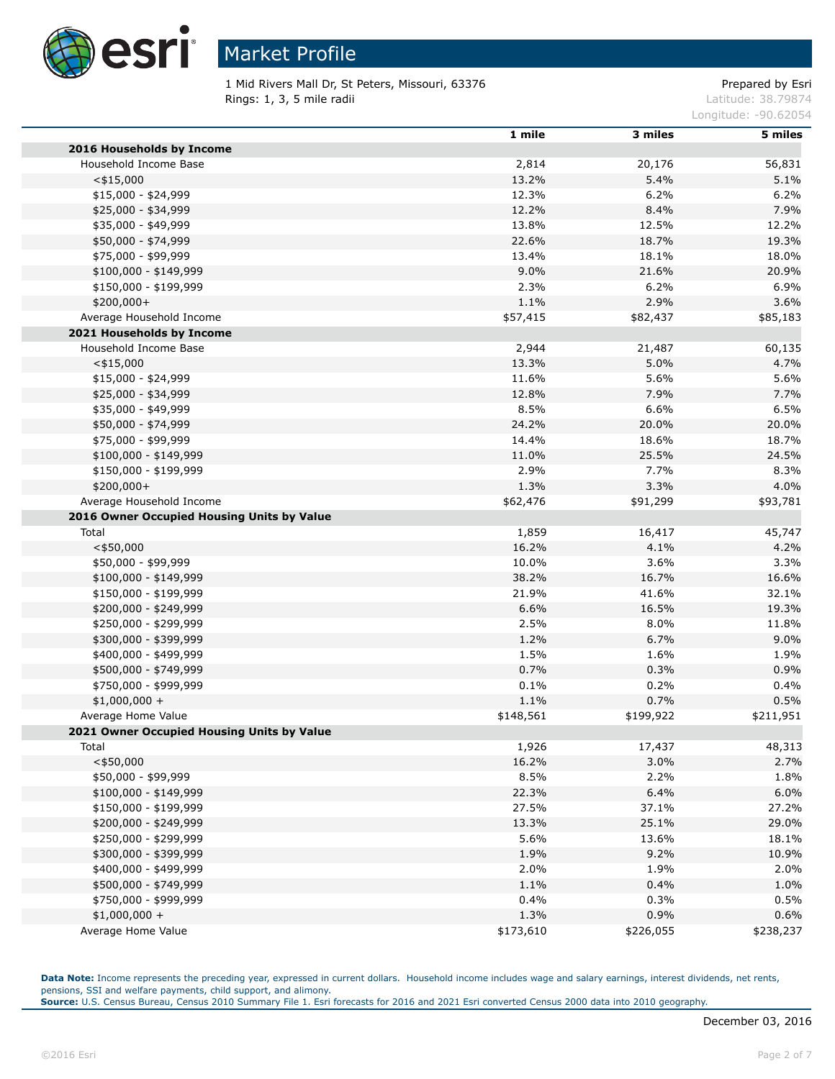

1 Mid Rivers Mall Dr, St Peters, Missouri, 63376 Prepared by Esri Rings: 1, 3, 5 mile radii and the state of the state of the contract of the latitude: 38.79874

Longitude: -90.62054

|                                                | 1 mile    | 3 miles   | 5 miles   |
|------------------------------------------------|-----------|-----------|-----------|
| 2016 Households by Income                      |           |           |           |
| Household Income Base                          | 2,814     | 20,176    | 56,831    |
| $<$ \$15,000                                   | 13.2%     | 5.4%      | 5.1%      |
| \$15,000 - \$24,999                            | 12.3%     | 6.2%      | 6.2%      |
| \$25,000 - \$34,999                            | 12.2%     | 8.4%      | 7.9%      |
| \$35,000 - \$49,999                            | 13.8%     | 12.5%     | 12.2%     |
| \$50,000 - \$74,999                            | 22.6%     | 18.7%     | 19.3%     |
| \$75,000 - \$99,999                            | 13.4%     | 18.1%     | 18.0%     |
| $$100,000 - $149,999$                          | 9.0%      | 21.6%     | 20.9%     |
| \$150,000 - \$199,999                          | 2.3%      | 6.2%      | 6.9%      |
| \$200,000+                                     | 1.1%      | 2.9%      | 3.6%      |
| Average Household Income                       | \$57,415  | \$82,437  | \$85,183  |
| 2021 Households by Income                      |           |           |           |
| Household Income Base                          | 2,944     | 21,487    | 60,135    |
| $<$ \$15,000                                   | 13.3%     | 5.0%      | 4.7%      |
| $$15,000 - $24,999$                            | 11.6%     | 5.6%      | 5.6%      |
| \$25,000 - \$34,999                            | 12.8%     | 7.9%      | 7.7%      |
| \$35,000 - \$49,999                            | 8.5%      | 6.6%      | 6.5%      |
| \$50,000 - \$74,999                            | 24.2%     | 20.0%     | 20.0%     |
| \$75,000 - \$99,999                            | 14.4%     | 18.6%     | 18.7%     |
| $$100,000 - $149,999$                          | 11.0%     | 25.5%     | 24.5%     |
| \$150,000 - \$199,999                          | 2.9%      | 7.7%      | 8.3%      |
| $$200,000+$                                    | 1.3%      | 3.3%      | 4.0%      |
| Average Household Income                       | \$62,476  | \$91,299  | \$93,781  |
| 2016 Owner Occupied Housing Units by Value     |           |           |           |
| Total                                          | 1,859     | 16,417    | 45,747    |
| $<$ \$50,000                                   | 16.2%     | 4.1%      | 4.2%      |
| \$50,000 - \$99,999                            | 10.0%     | 3.6%      | 3.3%      |
|                                                | 38.2%     | 16.7%     | 16.6%     |
| $$100,000 - $149,999$<br>\$150,000 - \$199,999 | 21.9%     | 41.6%     | 32.1%     |
|                                                | 6.6%      | 16.5%     | 19.3%     |
| \$200,000 - \$249,999                          |           |           |           |
| \$250,000 - \$299,999                          | 2.5%      | 8.0%      | 11.8%     |
| \$300,000 - \$399,999                          | 1.2%      | 6.7%      | 9.0%      |
| \$400,000 - \$499,999                          | 1.5%      | 1.6%      | 1.9%      |
| \$500,000 - \$749,999                          | 0.7%      | 0.3%      | 0.9%      |
| \$750,000 - \$999,999                          | 0.1%      | 0.2%      | 0.4%      |
| $$1,000,000 +$                                 | 1.1%      | 0.7%      | 0.5%      |
| Average Home Value                             | \$148,561 | \$199,922 | \$211,951 |
| 2021 Owner Occupied Housing Units by Value     |           |           |           |
| Total                                          | 1,926     | 17,437    | 48,313    |
| $<$ \$50,000                                   | 16.2%     | 3.0%      | 2.7%      |
| \$50,000 - \$99,999                            | 8.5%      | 2.2%      | 1.8%      |
| \$100,000 - \$149,999                          | 22.3%     | 6.4%      | 6.0%      |
| \$150,000 - \$199,999                          | 27.5%     | 37.1%     | 27.2%     |
| \$200,000 - \$249,999                          | 13.3%     | 25.1%     | 29.0%     |
| \$250,000 - \$299,999                          | 5.6%      | 13.6%     | 18.1%     |
| \$300,000 - \$399,999                          | 1.9%      | 9.2%      | 10.9%     |
| \$400,000 - \$499,999                          | 2.0%      | 1.9%      | 2.0%      |
| \$500,000 - \$749,999                          | 1.1%      | 0.4%      | 1.0%      |
| \$750,000 - \$999,999                          | 0.4%      | 0.3%      | 0.5%      |
| $$1,000,000 +$                                 | 1.3%      | 0.9%      | 0.6%      |
| Average Home Value                             | \$173,610 | \$226,055 | \$238,237 |

Data Note: Income represents the preceding year, expressed in current dollars. Household income includes wage and salary earnings, interest dividends, net rents, pensions, SSI and welfare payments, child support, and alimony.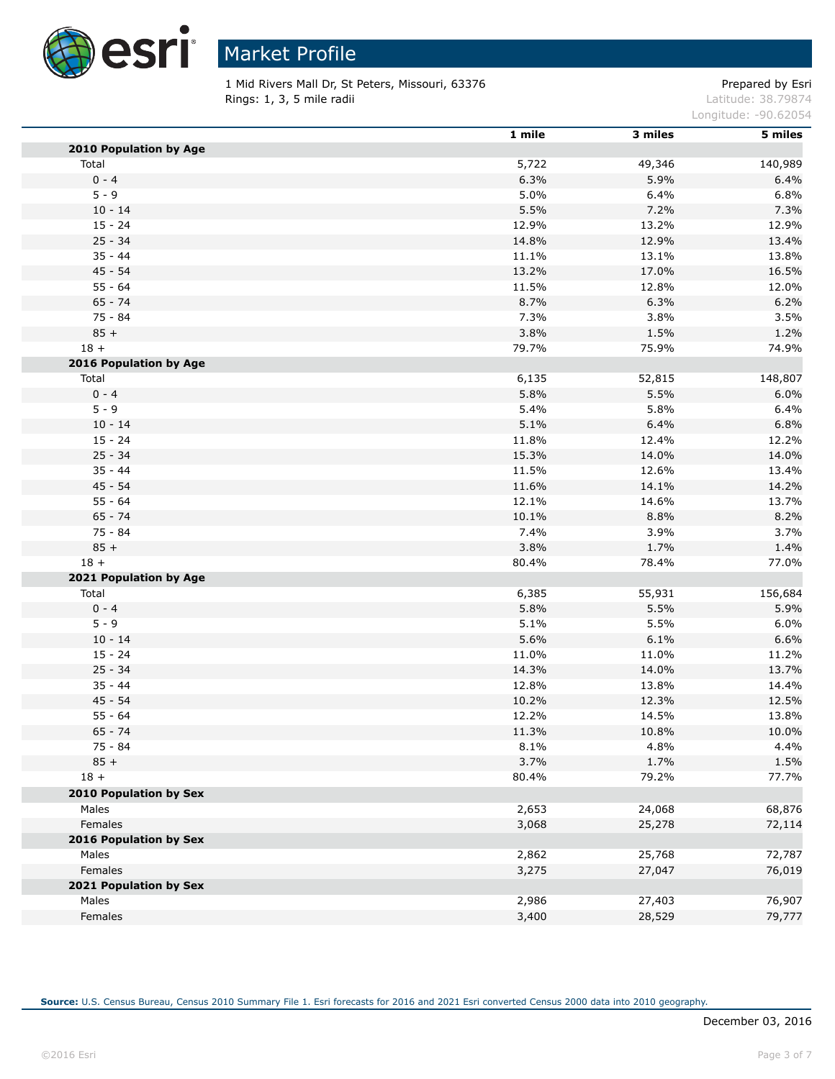

1 Mid Rivers Mall Dr, St Peters, Missouri, 63376 Prepared by Esri Rings: 1, 3, 5 mile radii and the state of the state of the contract of the latitude: 38.79874

Longitude: -90.62054

|                               | 1 mile | 3 miles | 5 miles |
|-------------------------------|--------|---------|---------|
| 2010 Population by Age        |        |         |         |
| Total                         | 5,722  | 49,346  | 140,989 |
| $0 - 4$                       | 6.3%   | 5.9%    | 6.4%    |
| $5 - 9$                       | 5.0%   | 6.4%    | 6.8%    |
| $10 - 14$                     | 5.5%   | 7.2%    | 7.3%    |
| $15 - 24$                     | 12.9%  | 13.2%   | 12.9%   |
| $25 - 34$                     | 14.8%  | 12.9%   | 13.4%   |
| $35 - 44$                     | 11.1%  | 13.1%   | 13.8%   |
| $45 - 54$                     | 13.2%  | 17.0%   | 16.5%   |
| $55 - 64$                     | 11.5%  | 12.8%   | 12.0%   |
| $65 - 74$                     | 8.7%   | 6.3%    | 6.2%    |
| $75 - 84$                     | 7.3%   | 3.8%    | 3.5%    |
| $85 +$                        | 3.8%   | 1.5%    | 1.2%    |
| $18 +$                        | 79.7%  | 75.9%   | 74.9%   |
| 2016 Population by Age        |        |         |         |
| Total                         | 6,135  | 52,815  | 148,807 |
| $0 - 4$                       | 5.8%   | 5.5%    | 6.0%    |
| $5 - 9$                       | 5.4%   | 5.8%    | 6.4%    |
| $10 - 14$                     | 5.1%   | 6.4%    | 6.8%    |
| $15 - 24$                     | 11.8%  | 12.4%   | 12.2%   |
| $25 - 34$                     | 15.3%  | 14.0%   | 14.0%   |
| $35 - 44$                     | 11.5%  | 12.6%   | 13.4%   |
| $45 - 54$                     | 11.6%  | 14.1%   | 14.2%   |
| $55 - 64$                     | 12.1%  | 14.6%   | 13.7%   |
| $65 - 74$                     | 10.1%  | 8.8%    | 8.2%    |
| $75 - 84$                     | 7.4%   | 3.9%    | 3.7%    |
| $85 +$                        | 3.8%   | 1.7%    | 1.4%    |
| $18 +$                        | 80.4%  | 78.4%   | 77.0%   |
| 2021 Population by Age        |        |         |         |
| Total                         | 6,385  | 55,931  | 156,684 |
| $0 - 4$                       | 5.8%   | 5.5%    | 5.9%    |
| $5 - 9$                       | 5.1%   | 5.5%    | 6.0%    |
| $10 - 14$                     | 5.6%   | 6.1%    | 6.6%    |
| $15 - 24$                     | 11.0%  | 11.0%   | 11.2%   |
| $25 - 34$                     | 14.3%  | 14.0%   | 13.7%   |
| $35 - 44$                     | 12.8%  | 13.8%   | 14.4%   |
| $45 - 54$                     | 10.2%  | 12.3%   | 12.5%   |
| $55 - 64$                     | 12.2%  | 14.5%   | 13.8%   |
| $65 - 74$                     | 11.3%  | 10.8%   | 10.0%   |
| $75 - 84$                     | 8.1%   | 4.8%    | 4.4%    |
| $85 +$                        | 3.7%   | 1.7%    | 1.5%    |
| $18 +$                        | 80.4%  | 79.2%   | 77.7%   |
| <b>2010 Population by Sex</b> |        |         |         |
| Males                         | 2,653  | 24,068  | 68,876  |
| Females                       | 3,068  | 25,278  | 72,114  |
| 2016 Population by Sex        |        |         |         |
| Males                         | 2,862  | 25,768  | 72,787  |
| Females                       | 3,275  | 27,047  | 76,019  |
| 2021 Population by Sex        |        |         |         |
| Males                         | 2,986  | 27,403  | 76,907  |
| Females                       | 3,400  | 28,529  | 79,777  |
|                               |        |         |         |

**Source:** U.S. Census Bureau, Census 2010 Summary File 1. Esri forecasts for 2016 and 2021 Esri converted Census 2000 data into 2010 geography.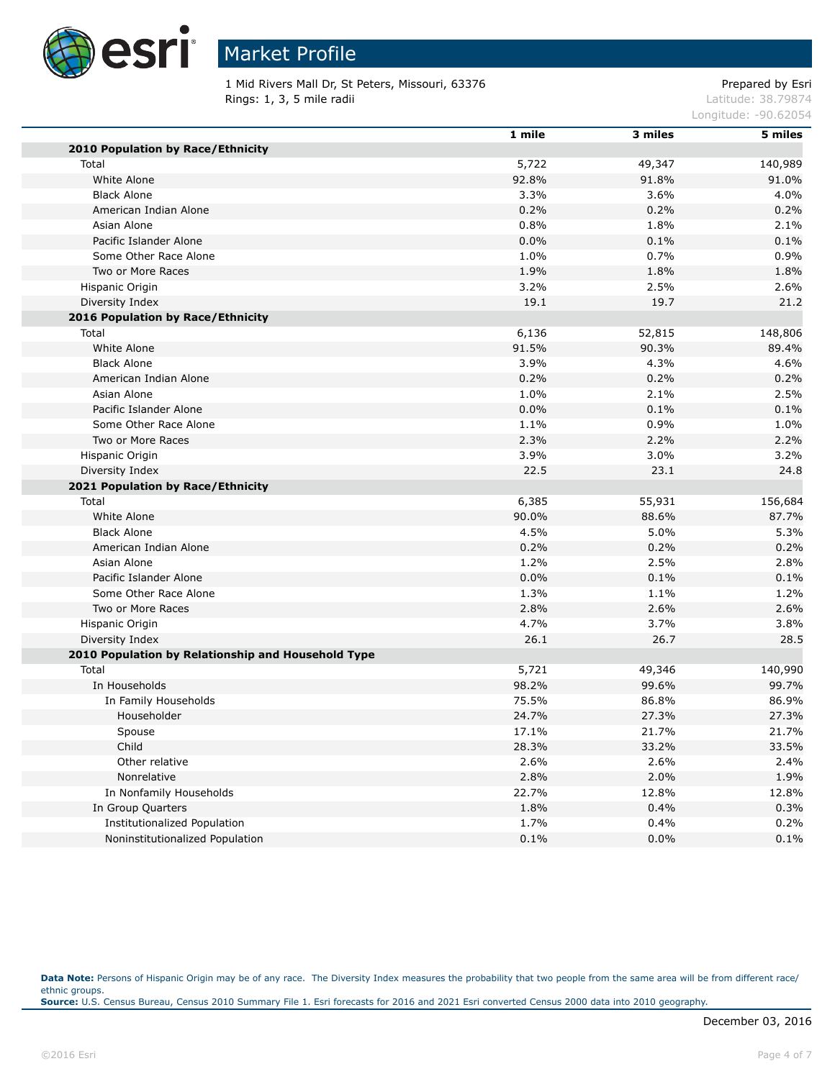

# Market Profile

1 Mid Rivers Mall Dr, St Peters, Missouri, 63376 Prepared by Esri Rings: 1, 3, 5 mile radii and the state of the state of the contract of the latitude: 38.79874

Longitude: -90.62054

|                                                    | 1 mile | 3 miles | 5 miles |
|----------------------------------------------------|--------|---------|---------|
| 2010 Population by Race/Ethnicity                  |        |         |         |
| Total                                              | 5,722  | 49,347  | 140,989 |
| White Alone                                        | 92.8%  | 91.8%   | 91.0%   |
| <b>Black Alone</b>                                 | 3.3%   | 3.6%    | 4.0%    |
| American Indian Alone                              | 0.2%   | 0.2%    | 0.2%    |
| Asian Alone                                        | 0.8%   | 1.8%    | 2.1%    |
| Pacific Islander Alone                             | 0.0%   | 0.1%    | 0.1%    |
| Some Other Race Alone                              | 1.0%   | 0.7%    | 0.9%    |
| Two or More Races                                  | 1.9%   | 1.8%    | 1.8%    |
| Hispanic Origin                                    | 3.2%   | 2.5%    | 2.6%    |
| Diversity Index                                    | 19.1   | 19.7    | 21.2    |
| 2016 Population by Race/Ethnicity                  |        |         |         |
| Total                                              | 6,136  | 52,815  | 148,806 |
| White Alone                                        | 91.5%  | 90.3%   | 89.4%   |
| <b>Black Alone</b>                                 | 3.9%   | 4.3%    | 4.6%    |
| American Indian Alone                              | 0.2%   | 0.2%    | 0.2%    |
| Asian Alone                                        | 1.0%   | 2.1%    | 2.5%    |
| Pacific Islander Alone                             | 0.0%   | 0.1%    | 0.1%    |
| Some Other Race Alone                              | 1.1%   | 0.9%    | 1.0%    |
| Two or More Races                                  | 2.3%   | 2.2%    | 2.2%    |
| Hispanic Origin                                    | 3.9%   | $3.0\%$ | 3.2%    |
| Diversity Index                                    | 22.5   | 23.1    | 24.8    |
| 2021 Population by Race/Ethnicity                  |        |         |         |
| Total                                              | 6,385  | 55,931  | 156,684 |
| White Alone                                        | 90.0%  | 88.6%   | 87.7%   |
| <b>Black Alone</b>                                 | 4.5%   | 5.0%    | 5.3%    |
| American Indian Alone                              | 0.2%   | 0.2%    | 0.2%    |
| Asian Alone                                        | 1.2%   | 2.5%    | 2.8%    |
| Pacific Islander Alone                             | 0.0%   | 0.1%    | 0.1%    |
| Some Other Race Alone                              | 1.3%   | 1.1%    | 1.2%    |
| Two or More Races                                  | 2.8%   | 2.6%    | 2.6%    |
| Hispanic Origin                                    | 4.7%   | 3.7%    | 3.8%    |
| Diversity Index                                    | 26.1   | 26.7    | 28.5    |
| 2010 Population by Relationship and Household Type |        |         |         |
| Total                                              | 5,721  | 49,346  | 140,990 |
| In Households                                      | 98.2%  | 99.6%   | 99.7%   |
| In Family Households                               | 75.5%  | 86.8%   | 86.9%   |
| Householder                                        | 24.7%  | 27.3%   | 27.3%   |
| Spouse                                             | 17.1%  | 21.7%   | 21.7%   |
| Child                                              | 28.3%  | 33.2%   | 33.5%   |
| Other relative                                     | 2.6%   | 2.6%    | 2.4%    |
| Nonrelative                                        | 2.8%   | 2.0%    | 1.9%    |
| In Nonfamily Households                            | 22.7%  | 12.8%   | 12.8%   |
| In Group Quarters                                  | 1.8%   | 0.4%    | 0.3%    |
| <b>Institutionalized Population</b>                | 1.7%   | 0.4%    | 0.2%    |
| Noninstitutionalized Population                    | 0.1%   | 0.0%    | 0.1%    |

Data Note: Persons of Hispanic Origin may be of any race. The Diversity Index measures the probability that two people from the same area will be from different race/ ethnic groups. **Source:** U.S. Census Bureau, Census 2010 Summary File 1. Esri forecasts for 2016 and 2021 Esri converted Census 2000 data into 2010 geography.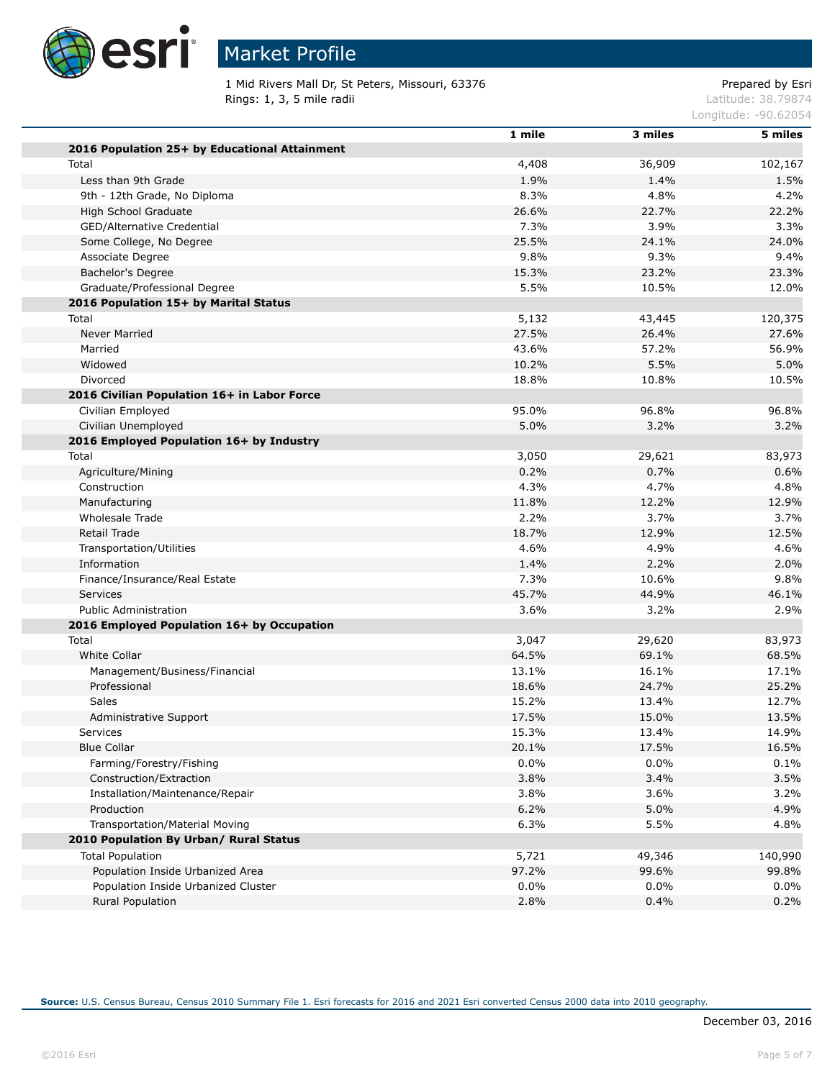

1 Mid Rivers Mall Dr, St Peters, Missouri, 63376 Prepared by Esri<br>Rings: 1, 3, 5 mile radii etit alii etit alii etit alii etit alii etit alii etit alii etit alii etit alii eti Rings: 1, 3, 5 mile radii

Longitude: -90.62054

|                                               | 1 mile  | 3 miles | 5 miles |
|-----------------------------------------------|---------|---------|---------|
| 2016 Population 25+ by Educational Attainment |         |         |         |
| Total                                         | 4,408   | 36,909  | 102,167 |
| Less than 9th Grade                           | 1.9%    | 1.4%    | 1.5%    |
| 9th - 12th Grade, No Diploma                  | 8.3%    | 4.8%    | 4.2%    |
| High School Graduate                          | 26.6%   | 22.7%   | 22.2%   |
| GED/Alternative Credential                    | 7.3%    | 3.9%    | 3.3%    |
| Some College, No Degree                       | 25.5%   | 24.1%   | 24.0%   |
| Associate Degree                              | 9.8%    | 9.3%    | 9.4%    |
| Bachelor's Degree                             | 15.3%   | 23.2%   | 23.3%   |
| Graduate/Professional Degree                  | 5.5%    | 10.5%   | 12.0%   |
| 2016 Population 15+ by Marital Status         |         |         |         |
| Total                                         | 5,132   | 43,445  | 120,375 |
| <b>Never Married</b>                          | 27.5%   | 26.4%   | 27.6%   |
| Married                                       | 43.6%   | 57.2%   | 56.9%   |
| Widowed                                       | 10.2%   | 5.5%    | 5.0%    |
| Divorced                                      | 18.8%   | 10.8%   | 10.5%   |
| 2016 Civilian Population 16+ in Labor Force   |         |         |         |
| Civilian Employed                             | 95.0%   | 96.8%   | 96.8%   |
| Civilian Unemployed                           | 5.0%    | 3.2%    | 3.2%    |
| 2016 Employed Population 16+ by Industry      |         |         |         |
| Total                                         | 3,050   | 29,621  | 83,973  |
| Agriculture/Mining                            | 0.2%    | 0.7%    | 0.6%    |
| Construction                                  | 4.3%    | 4.7%    | 4.8%    |
| Manufacturing                                 | 11.8%   | 12.2%   | 12.9%   |
| <b>Wholesale Trade</b>                        | 2.2%    | 3.7%    | 3.7%    |
| Retail Trade                                  | 18.7%   | 12.9%   | 12.5%   |
| Transportation/Utilities                      | 4.6%    | 4.9%    | 4.6%    |
| Information                                   | 1.4%    | 2.2%    | 2.0%    |
| Finance/Insurance/Real Estate                 | 7.3%    | 10.6%   | 9.8%    |
| <b>Services</b>                               | 45.7%   | 44.9%   | 46.1%   |
| <b>Public Administration</b>                  | 3.6%    | 3.2%    | 2.9%    |
| 2016 Employed Population 16+ by Occupation    |         |         |         |
| Total                                         | 3,047   | 29,620  | 83,973  |
| White Collar                                  | 64.5%   | 69.1%   | 68.5%   |
| Management/Business/Financial                 | 13.1%   | 16.1%   | 17.1%   |
| Professional                                  | 18.6%   | 24.7%   | 25.2%   |
| Sales                                         | 15.2%   | 13.4%   | 12.7%   |
| Administrative Support                        | 17.5%   | 15.0%   | 13.5%   |
| Services                                      | 15.3%   | 13.4%   | 14.9%   |
| <b>Blue Collar</b>                            | 20.1%   | 17.5%   | 16.5%   |
| Farming/Forestry/Fishing                      | 0.0%    | 0.0%    | 0.1%    |
| Construction/Extraction                       | 3.8%    | 3.4%    | 3.5%    |
| Installation/Maintenance/Repair               | 3.8%    | 3.6%    | 3.2%    |
| Production                                    | 6.2%    | 5.0%    | 4.9%    |
| Transportation/Material Moving                | 6.3%    | 5.5%    | 4.8%    |
| 2010 Population By Urban/ Rural Status        |         |         |         |
| <b>Total Population</b>                       | 5,721   | 49,346  | 140,990 |
| Population Inside Urbanized Area              | 97.2%   | 99.6%   | 99.8%   |
| Population Inside Urbanized Cluster           | $0.0\%$ | 0.0%    | $0.0\%$ |
| <b>Rural Population</b>                       | 2.8%    | 0.4%    | 0.2%    |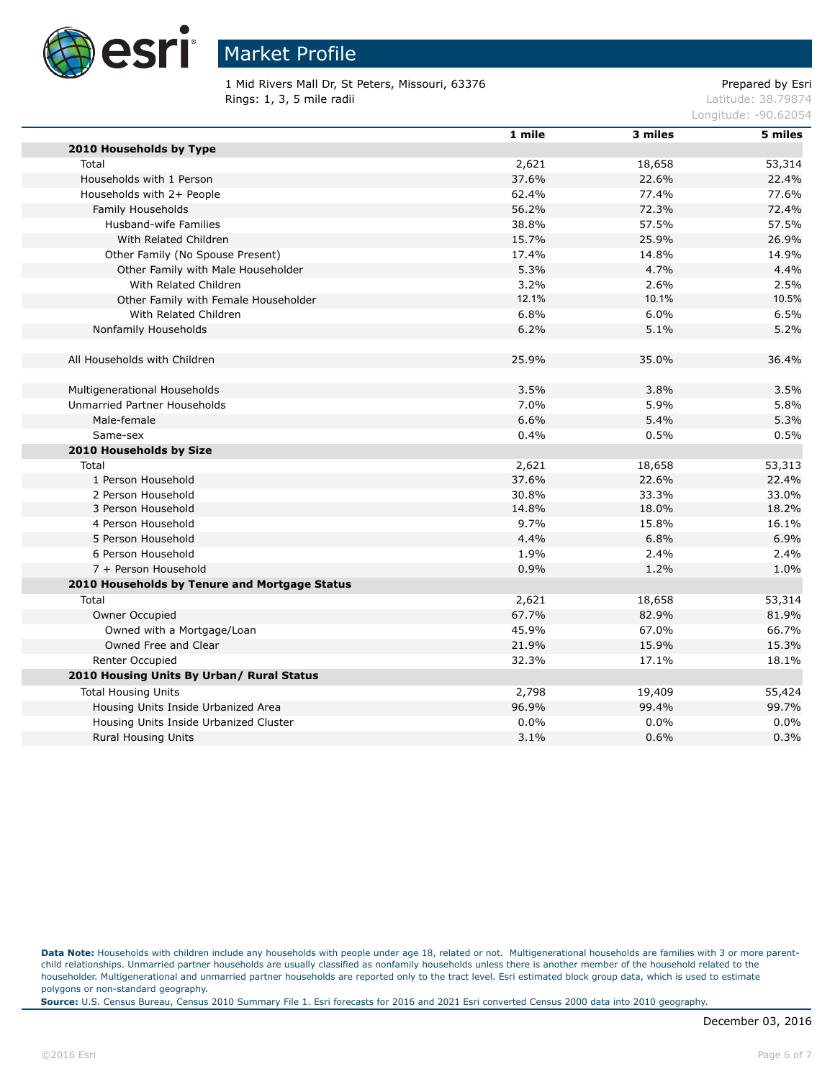

1 Mid Rivers Mall Dr, St Peters, Missouri, 63376 Prepared by Esri Rings: 1, 3, 5 mile radii and the state of the state of the contract of the contract of the contract of the contract of the contract of the contract of the contract of the contract of the contract of the contract of the co

Longitude: -90.62054

|                                               | 1 mile | 3 miles | 5 miles |
|-----------------------------------------------|--------|---------|---------|
| 2010 Households by Type                       |        |         |         |
| Total                                         | 2,621  | 18,658  | 53,314  |
| Households with 1 Person                      | 37.6%  | 22.6%   | 22.4%   |
| Households with 2+ People                     | 62.4%  | 77.4%   | 77.6%   |
| Family Households                             | 56.2%  | 72.3%   | 72.4%   |
| Husband-wife Families                         | 38.8%  | 57.5%   | 57.5%   |
| With Related Children                         | 15.7%  | 25.9%   | 26.9%   |
| Other Family (No Spouse Present)              | 17.4%  | 14.8%   | 14.9%   |
| Other Family with Male Householder            | 5.3%   | 4.7%    | 4.4%    |
| With Related Children                         | 3.2%   | 2.6%    | 2.5%    |
| Other Family with Female Householder          | 12.1%  | 10.1%   | 10.5%   |
| With Related Children                         | 6.8%   | 6.0%    | 6.5%    |
| Nonfamily Households                          | 6.2%   | 5.1%    | 5.2%    |
| All Households with Children                  | 25.9%  | 35.0%   | 36.4%   |
| Multigenerational Households                  | 3.5%   | 3.8%    | 3.5%    |
| Unmarried Partner Households                  | 7.0%   | 5.9%    | 5.8%    |
| Male-female                                   | 6.6%   | 5.4%    | 5.3%    |
| Same-sex                                      | 0.4%   | 0.5%    | 0.5%    |
| 2010 Households by Size                       |        |         |         |
| Total                                         | 2,621  | 18,658  | 53,313  |
| 1 Person Household                            | 37.6%  | 22.6%   | 22.4%   |
| 2 Person Household                            | 30.8%  | 33.3%   | 33.0%   |
| 3 Person Household                            | 14.8%  | 18.0%   | 18.2%   |
| 4 Person Household                            | 9.7%   | 15.8%   | 16.1%   |
| 5 Person Household                            | 4.4%   | 6.8%    | 6.9%    |
| 6 Person Household                            | 1.9%   | 2.4%    | 2.4%    |
| 7 + Person Household                          | 0.9%   | 1.2%    | 1.0%    |
| 2010 Households by Tenure and Mortgage Status |        |         |         |
| Total                                         | 2,621  | 18,658  | 53,314  |
| Owner Occupied                                | 67.7%  | 82.9%   | 81.9%   |
| Owned with a Mortgage/Loan                    | 45.9%  | 67.0%   | 66.7%   |
| Owned Free and Clear                          | 21.9%  | 15.9%   | 15.3%   |
| Renter Occupied                               | 32.3%  | 17.1%   | 18.1%   |
| 2010 Housing Units By Urban/ Rural Status     |        |         |         |
| <b>Total Housing Units</b>                    | 2,798  | 19,409  | 55,424  |
| Housing Units Inside Urbanized Area           | 96.9%  | 99.4%   | 99.7%   |
| Housing Units Inside Urbanized Cluster        | 0.0%   | 0.0%    | 0.0%    |
| <b>Rural Housing Units</b>                    | 3.1%   | 0.6%    | 0.3%    |

Data Note: Households with children include any households with people under age 18, related or not. Multigenerational households are families with 3 or more parentchild relationships. Unmarried partner households are usually classified as nonfamily households unless there is another member of the household related to the householder. Multigenerational and unmarried partner households are reported only to the tract level. Esri estimated block group data, which is used to estimate polygons or non-standard geography.

**Source:** U.S. Census Bureau, Census 2010 Summary File 1. Esri forecasts for 2016 and 2021 Esri converted Census 2000 data into 2010 geography.